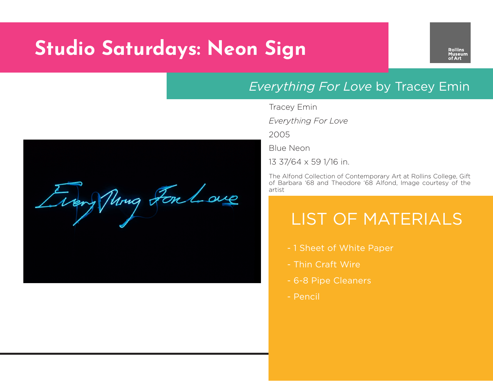# **Studio Saturdays: Neon Sign**

Trengthing For Love

#### *Everything For Love* by Tracey Emin

Tracey Emin

*Everything For Love*

2005

Blue Neon

13 37/64 x 59 1/16 in.

The Alfond Collection of Contemporary Art at Rollins College, Gift of Barbara '68 and Theodore '68 Alfond, Image courtesy of the artist

### LIST OF MATERIALS

- 1 Sheet of White Paper
- Thin Craft Wire
- 6-8 Pipe Cleaners
- Pencil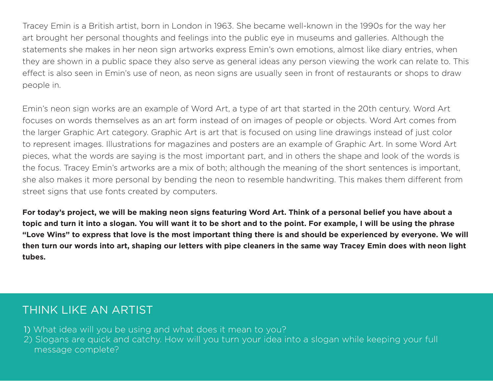Tracey Emin is a British artist, born in London in 1963. She became well-known in the 1990s for the way her art brought her personal thoughts and feelings into the public eye in museums and galleries. Although the statements she makes in her neon sign artworks express Emin's own emotions, almost like diary entries, when they are shown in a public space they also serve as general ideas any person viewing the work can relate to. This effect is also seen in Emin's use of neon, as neon signs are usually seen in front of restaurants or shops to draw people in.

Emin's neon sign works are an example of Word Art, a type of art that started in the 20th century. Word Art focuses on words themselves as an art form instead of on images of people or objects. Word Art comes from the larger Graphic Art category. Graphic Art is art that is focused on using line drawings instead of just color to represent images. Illustrations for magazines and posters are an example of Graphic Art. In some Word Art pieces, what the words are saying is the most important part, and in others the shape and look of the words is the focus. Tracey Emin's artworks are a mix of both; although the meaning of the short sentences is important, she also makes it more personal by bending the neon to resemble handwriting. This makes them different from street signs that use fonts created by computers.

**For today's project, we will be making neon signs featuring Word Art. Think of a personal belief you have about a topic and turn it into a slogan. You will want it to be short and to the point. For example, I will be using the phrase "Love Wins" to express that love is the most important thing there is and should be experienced by everyone. We will then turn our words into art, shaping our letters with pipe cleaners in the same way Tracey Emin does with neon light tubes.** 

#### THINK LIKE AN ARTIST

1) What idea will you be using and what does it mean to you?

2) Slogans are quick and catchy. How will you turn your idea into a slogan while keeping your full message complete?